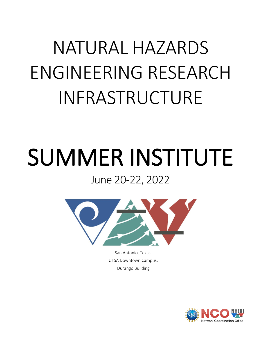## NATURAL HAZARDS ENGINEERING RESEARCH INFRASTRUCTURE

## SUMMER INSTITUTE June 20-22, 2022



San Antonio, Texas, UTSA Downtown Campus, Durango Building

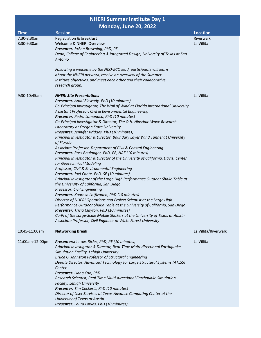## **NHERI Summer Institute Day 1 Monday, June 20, 2022**

|                            | $110101184$ , $3011020$ , $2022$                                                                                       |                              |
|----------------------------|------------------------------------------------------------------------------------------------------------------------|------------------------------|
| <b>Time</b><br>7:30-8:30am | <b>Session</b><br>Registration & breakfast                                                                             | <b>Location</b><br>Riverwalk |
| 8:30-9:30am                | Welcome & NHERI Overview                                                                                               | La Villita                   |
|                            | Presenter: JoAnn Browning, PhD, PE                                                                                     |                              |
|                            | Dean, College of Engineering & Integrated Design, University of Texas at San                                           |                              |
|                            | Antonio                                                                                                                |                              |
|                            | Following a welcome by the NCO-ECO lead, participants will learn                                                       |                              |
|                            | about the NHERI network, receive an overview of the Summer                                                             |                              |
|                            | Institute objectives, and meet each other and their collaborative                                                      |                              |
|                            | research group.                                                                                                        |                              |
| 9:30-10:45am               | <b>NHERI Site Presentations</b>                                                                                        | La Villita                   |
|                            | Presenter: Amal Elawady, PhD (10 minutes)                                                                              |                              |
|                            | Co-Principal Investigator, The Wall of Wind at Florida International University                                        |                              |
|                            | Assistant Professor, Civil & Environmental Engineering                                                                 |                              |
|                            | Presenter: Pedro Lomònaco, PhD (10 minutes)<br>Co-Principal Investigator & Director, The O.H. Hinsdale Wave Research   |                              |
|                            | Laboratory at Oregon State University                                                                                  |                              |
|                            | Presenter: Jennifer Bridges, PhD (10 minutes)                                                                          |                              |
|                            | Principal Investigator & Director, Boundary Layer Wind Tunnel at University                                            |                              |
|                            | of Florida                                                                                                             |                              |
|                            | Associate Professor, Department of Civil & Coastal Engineering                                                         |                              |
|                            | Presenter: Ross Boulanger, PhD, PE, NAE (10 minutes)                                                                   |                              |
|                            | Principal Investigator & Director of the University of California, Davis, Center                                       |                              |
|                            | for Geotechnical Modeling                                                                                              |                              |
|                            | Professor, Civil & Environmental Engineering                                                                           |                              |
|                            | Presenter: Joel Conte, PhD, SE (10 minutes)                                                                            |                              |
|                            | Principal Investigator of the Large High Performance Outdoor Shake Table at<br>the University of California, San Diego |                              |
|                            | Professor, Civil Engineering                                                                                           |                              |
|                            | Presenter: Koorosh Lotfizadeh, PhD (10 minutes)                                                                        |                              |
|                            | Director of NHERI Operations and Project Scientist at the Large High                                                   |                              |
|                            | Performance Outdoor Shake Table at the University of California, San Diego                                             |                              |
|                            | Presenter: Tricia Clayton, PhD (10 minutes)                                                                            |                              |
|                            | Co-PI of the Large-Scale Mobile Shakers at the University of Texas at Austin                                           |                              |
|                            | Associate Professor, Civil Engineer at Wake Forest University                                                          |                              |
| 10:45-11:00am              | <b>Networking Break</b>                                                                                                | La Villita/Riverwalk         |
| 11:00am-12:00pm            | Presenters: James Ricles, PhD, PE (10 minutes)                                                                         | La Villita                   |
|                            | Principal Investigator & Director, Real-Time Multi-directional Earthquake                                              |                              |
|                            | Simulation Facility, Lehigh University                                                                                 |                              |
|                            | Bruce G. Johnston Professor of Structural Engineering                                                                  |                              |
|                            | Deputy Director, Advanced Technology for Large Structural Systems (ATLSS)<br>Center                                    |                              |
|                            | Presenter: Liang Cao, PhD                                                                                              |                              |
|                            | Research Scientist, Real-Time Multi-directional Earthquake Simulation                                                  |                              |
|                            | Facility, Lehigh University                                                                                            |                              |
|                            | Presenter: Tim Cockerill, PhD (10 minutes)                                                                             |                              |
|                            | Director of User Services at Texas Advance Computing Center at the                                                     |                              |
|                            | University of Texas at Austin                                                                                          |                              |
|                            | Presenter: Laura Lowes, PhD (10 minutes)                                                                               |                              |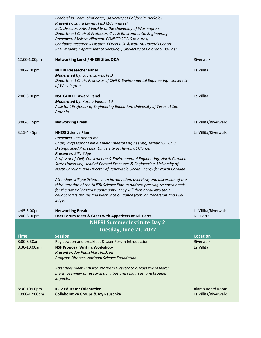|                                                               | Leadership Team, SimCenter, University of California, Berkeley                                |                                   |  |  |
|---------------------------------------------------------------|-----------------------------------------------------------------------------------------------|-----------------------------------|--|--|
|                                                               | Presenter: Laura Lowes, PhD (10 minutes)                                                      |                                   |  |  |
|                                                               | ECO Director, RAPID Facility at the University of Washington                                  |                                   |  |  |
|                                                               | Department Chair & Professor, Civil & Environmental Engineering                               |                                   |  |  |
|                                                               | Presenter: Melissa Villarreal, CONVERGE (10 minutes)                                          |                                   |  |  |
|                                                               | Graduate Research Assistant, CONVERGE & Natural Hazards Center                                |                                   |  |  |
|                                                               | PhD Student, Department of Sociology, University of Colorado, Boulder                         |                                   |  |  |
| 12:00-1:00pm                                                  | <b>Networking Lunch/NHERI Sites Q&amp;A</b>                                                   | Riverwalk                         |  |  |
| 1:00-2:00pm                                                   | <b>NHERI Researcher Panel</b>                                                                 | La Villita                        |  |  |
|                                                               | Moderated by: Laura Lowes, PhD                                                                |                                   |  |  |
|                                                               | Department Chair, Professor of Civil & Environmental Engineering, University<br>of Washington |                                   |  |  |
| 2:00-3:00pm                                                   | <b>NSF CAREER Award Panel</b>                                                                 | La Villita                        |  |  |
|                                                               | Moderated by: Karina Vielma, Ed                                                               |                                   |  |  |
|                                                               | Assistant Professor of Engineering Education, University of Texas at San<br>Antonio           |                                   |  |  |
| 3:00-3:15pm                                                   | <b>Networking Break</b>                                                                       | La Villita/Riverwalk              |  |  |
| 3:15-4:45pm                                                   | <b>NHERI Science Plan</b>                                                                     | La Villita/Riverwalk              |  |  |
|                                                               | <b>Presenter:</b> Ian Robertson                                                               |                                   |  |  |
|                                                               | Chair, Professor of Civil & Environmental Engineering, Arthur N.L. Chiu                       |                                   |  |  |
|                                                               | Distinguished Professor, University of Hawaií at Mānoa                                        |                                   |  |  |
|                                                               | Presenter: Billy Edge                                                                         |                                   |  |  |
|                                                               | Professor of Civil, Construction & Environmental Engineering, North Carolina                  |                                   |  |  |
|                                                               | State University, Head of Coastal Processes & Engineering, University of                      |                                   |  |  |
|                                                               | North Carolina, and Director of Renewable Ocean Energy for North Carolina                     |                                   |  |  |
|                                                               | Attendees will participate in an introduction, overview, and discussion of the                |                                   |  |  |
|                                                               | third iteration of the NHERI Science Plan to address pressing research needs                  |                                   |  |  |
|                                                               | for the natural hazards' community. They will then break into their                           |                                   |  |  |
|                                                               | collaborative groups and work with guidance from Ian Robertson and Billy                      |                                   |  |  |
|                                                               | Edge.                                                                                         |                                   |  |  |
|                                                               |                                                                                               |                                   |  |  |
| 4:45-5:00pm<br>6:00-8:00pm                                    | <b>Networking Break</b><br>User Forum Meet & Greet with Appetizers at Mi Tierra               | La Villita/Riverwalk<br>Mi Tierra |  |  |
|                                                               |                                                                                               |                                   |  |  |
| <b>NHERI Summer Institute Day 2</b><br>Tuesday, June 21, 2022 |                                                                                               |                                   |  |  |
| <b>Time</b>                                                   | <b>Session</b>                                                                                | <b>Location</b>                   |  |  |
| $8:00 - 8:30$ am                                              | Registration and breakfast & User Forum Introduction                                          | Riverwalk                         |  |  |
| 8:30-10:00am                                                  | <b>NSF Proposal Writing Workshop-</b>                                                         | La Villita                        |  |  |
|                                                               | Presenter: Joy Pauschke, PhD, PE                                                              |                                   |  |  |
|                                                               | Program Director, National Science Foundation                                                 |                                   |  |  |
|                                                               | Attendees meet with NSF Program Director to discuss the research                              |                                   |  |  |
|                                                               | merit, overview of research activities and resources, and broader                             |                                   |  |  |
|                                                               | impacts.                                                                                      |                                   |  |  |
| 8:30-10:00pm                                                  | <b>K-12 Educator Orientation</b>                                                              | Alamo Board Room                  |  |  |
| 10:00-12:00pm                                                 | <b>Collaborative Groups &amp; Joy Pauschke</b>                                                | La Villita/Riverwalk              |  |  |
|                                                               |                                                                                               |                                   |  |  |